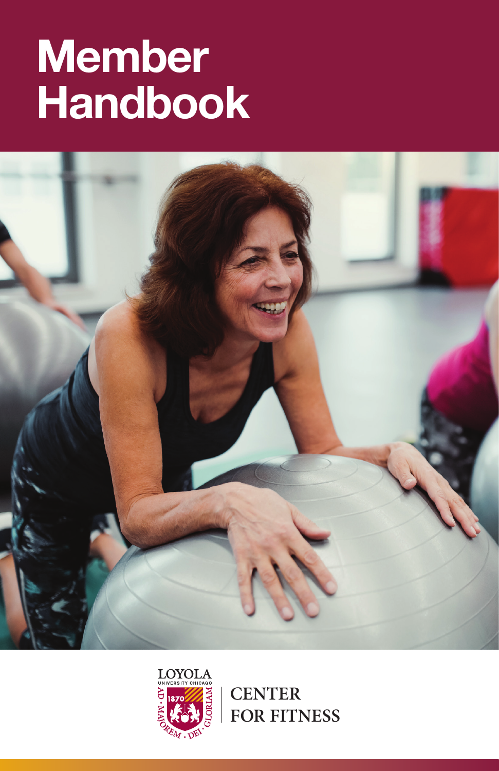# **Member Handbook**





**CENTER FOR FITNESS**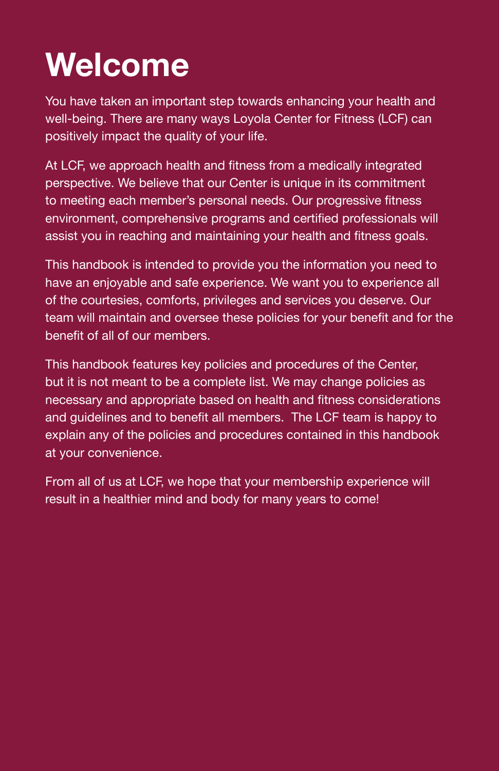## **Welcome**

You have taken an important step towards enhancing your health and well-being. There are many ways Loyola Center for Fitness (LCF) can positively impact the quality of your life.

At LCF, we approach health and fitness from a medically integrated perspective. We believe that our Center is unique in its commitment to meeting each member's personal needs. Our progressive fitness environment, comprehensive programs and certified professionals will assist you in reaching and maintaining your health and fitness goals.

This handbook is intended to provide you the information you need to have an enjoyable and safe experience. We want you to experience all of the courtesies, comforts, privileges and services you deserve. Our team will maintain and oversee these policies for your benefit and for the benefit of all of our members.

This handbook features key policies and procedures of the Center, but it is not meant to be a complete list. We may change policies as necessary and appropriate based on health and fitness considerations and guidelines and to benefit all members. The LCF team is happy to explain any of the policies and procedures contained in this handbook at your convenience.

From all of us at LCF, we hope that your membership experience will result in a healthier mind and body for many years to come!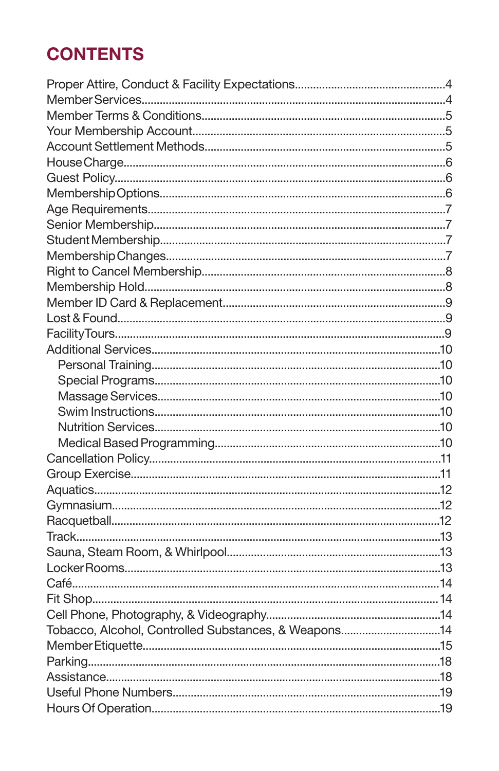### **CONTENTS**

| Tobacco, Alcohol, Controlled Substances, & Weapons14 |  |
|------------------------------------------------------|--|
|                                                      |  |
|                                                      |  |
|                                                      |  |
|                                                      |  |
|                                                      |  |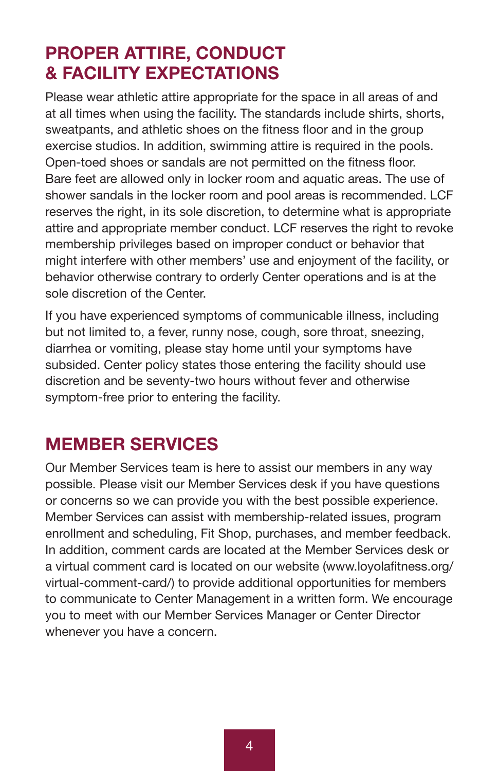### **PROPER ATTIRE, CONDUCT & FACILITY EXPECTATIONS**

Please wear athletic attire appropriate for the space in all areas of and at all times when using the facility. The standards include shirts, shorts, sweatpants, and athletic shoes on the fitness floor and in the group exercise studios. In addition, swimming attire is required in the pools. Open-toed shoes or sandals are not permitted on the fitness floor. Bare feet are allowed only in locker room and aquatic areas. The use of shower sandals in the locker room and pool areas is recommended. LCF reserves the right, in its sole discretion, to determine what is appropriate attire and appropriate member conduct. LCF reserves the right to revoke membership privileges based on improper conduct or behavior that might interfere with other members' use and enjoyment of the facility, or behavior otherwise contrary to orderly Center operations and is at the sole discretion of the Center

If you have experienced symptoms of communicable illness, including but not limited to, a fever, runny nose, cough, sore throat, sneezing, diarrhea or vomiting, please stay home until your symptoms have subsided. Center policy states those entering the facility should use discretion and be seventy-two hours without fever and otherwise symptom-free prior to entering the facility.

### **MEMBER SERVICES**

Our Member Services team is here to assist our members in any way possible. Please visit our Member Services desk if you have questions or concerns so we can provide you with the best possible experience. Member Services can assist with membership-related issues, program enrollment and scheduling, Fit Shop, purchases, and member feedback. In addition, comment cards are located at the Member Services desk or a virtual comment card is located on our website (www.loyolafitness.org/ virtual-comment-card/) to provide additional opportunities for members to communicate to Center Management in a written form. We encourage you to meet with our Member Services Manager or Center Director whenever you have a concern.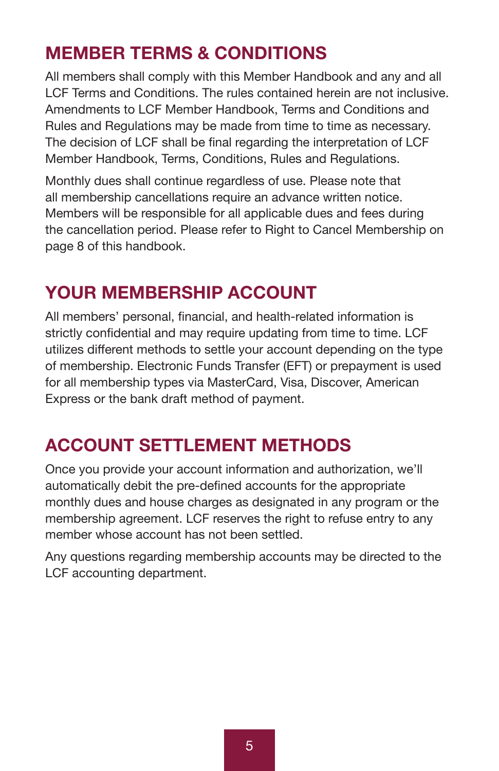### **MEMBER TERMS & CONDITIONS**

All members shall comply with this Member Handbook and any and all LCF Terms and Conditions. The rules contained herein are not inclusive. Amendments to LCF Member Handbook, Terms and Conditions and Rules and Regulations may be made from time to time as necessary. The decision of LCF shall be final regarding the interpretation of LCF Member Handbook, Terms, Conditions, Rules and Regulations.

Monthly dues shall continue regardless of use. Please note that all membership cancellations require an advance written notice. Members will be responsible for all applicable dues and fees during the cancellation period. Please refer to Right to Cancel Membership on page 8 of this handbook.

### **YOUR MEMBERSHIP ACCOUNT**

All members' personal, financial, and health-related information is strictly confidential and may require updating from time to time. LCF utilizes different methods to settle your account depending on the type of membership. Electronic Funds Transfer (EFT) or prepayment is used for all membership types via MasterCard, Visa, Discover, American Express or the bank draft method of payment.

### **ACCOUNT SETTLEMENT METHODS**

Once you provide your account information and authorization, we'll automatically debit the pre-defined accounts for the appropriate monthly dues and house charges as designated in any program or the membership agreement. LCF reserves the right to refuse entry to any member whose account has not been settled.

Any questions regarding membership accounts may be directed to the LCF accounting department.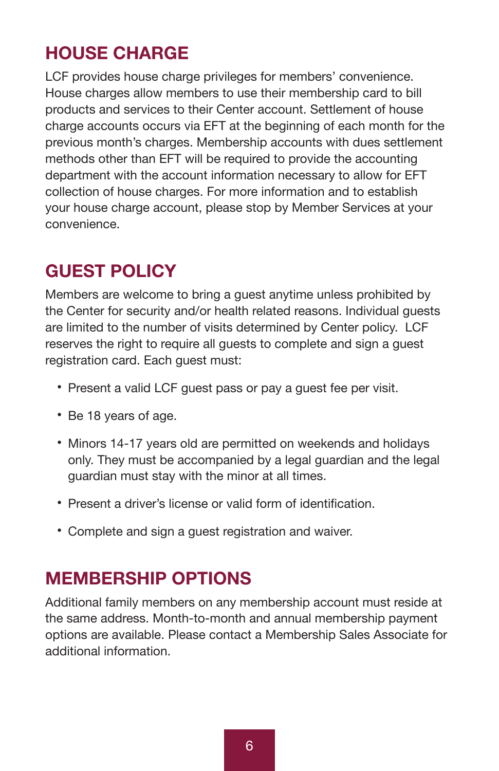### **HOUSE CHARGE**

LCF provides house charge privileges for members' convenience. House charges allow members to use their membership card to bill products and services to their Center account. Settlement of house charge accounts occurs via EFT at the beginning of each month for the previous month's charges. Membership accounts with dues settlement methods other than EFT will be required to provide the accounting department with the account information necessary to allow for EFT collection of house charges. For more information and to establish your house charge account, please stop by Member Services at your convenience.

### **GUEST POLICY**

Members are welcome to bring a guest anytime unless prohibited by the Center for security and/or health related reasons. Individual guests are limited to the number of visits determined by Center policy. LCF reserves the right to require all guests to complete and sign a guest registration card. Each guest must:

- Present a valid LCF guest pass or pay a guest fee per visit.
- Be 18 years of age.
- Minors 14-17 years old are permitted on weekends and holidays only. They must be accompanied by a legal guardian and the legal guardian must stay with the minor at all times.
- Present a driver's license or valid form of identification.
- Complete and sign a guest registration and waiver.

### **MEMBERSHIP OPTIONS**

Additional family members on any membership account must reside at the same address. Month-to-month and annual membership payment options are available. Please contact a Membership Sales Associate for additional information.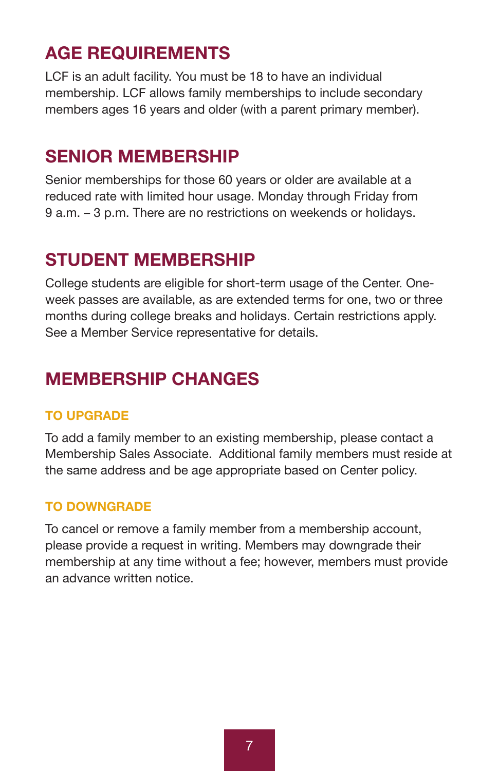### **AGE REQUIREMENTS**

LCF is an adult facility. You must be 18 to have an individual membership. LCF allows family memberships to include secondary members ages 16 years and older (with a parent primary member).

### **SENIOR MEMBERSHIP**

Senior memberships for those 60 years or older are available at a reduced rate with limited hour usage. Monday through Friday from 9 a.m. – 3 p.m. There are no restrictions on weekends or holidays.

### **STUDENT MEMBERSHIP**

College students are eligible for short-term usage of the Center. Oneweek passes are available, as are extended terms for one, two or three months during college breaks and holidays. Certain restrictions apply. See a Member Service representative for details.

### **MEMBERSHIP CHANGES**

#### **TO UPGRADE**

To add a family member to an existing membership, please contact a Membership Sales Associate. Additional family members must reside at the same address and be age appropriate based on Center policy.

#### **TO DOWNGRADE**

To cancel or remove a family member from a membership account, please provide a request in writing. Members may downgrade their membership at any time without a fee; however, members must provide an advance written notice.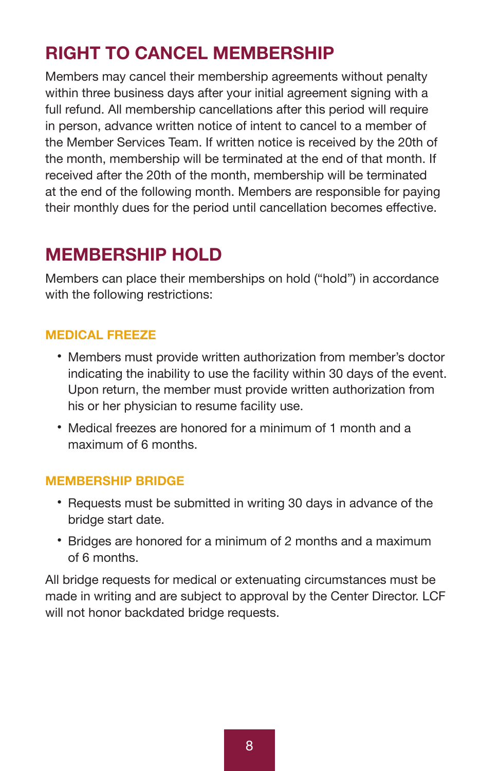### **RIGHT TO CANCEL MEMBERSHIP**

Members may cancel their membership agreements without penalty within three business days after your initial agreement signing with a full refund. All membership cancellations after this period will require in person, advance written notice of intent to cancel to a member of the Member Services Team. If written notice is received by the 20th of the month, membership will be terminated at the end of that month. If received after the 20th of the month, membership will be terminated at the end of the following month. Members are responsible for paying their monthly dues for the period until cancellation becomes effective.

### **MEMBERSHIP HOLD**

Members can place their memberships on hold ("hold") in accordance with the following restrictions:

#### **MEDICAL FREEZE**

- Members must provide written authorization from member's doctor indicating the inability to use the facility within 30 days of the event. Upon return, the member must provide written authorization from his or her physician to resume facility use.
- Medical freezes are honored for a minimum of 1 month and a maximum of 6 months.

#### **MEMBERSHIP BRIDGE**

- Requests must be submitted in writing 30 days in advance of the bridge start date.
- Bridges are honored for a minimum of 2 months and a maximum of 6 months.

All bridge requests for medical or extenuating circumstances must be made in writing and are subject to approval by the Center Director. LCF will not honor backdated bridge requests.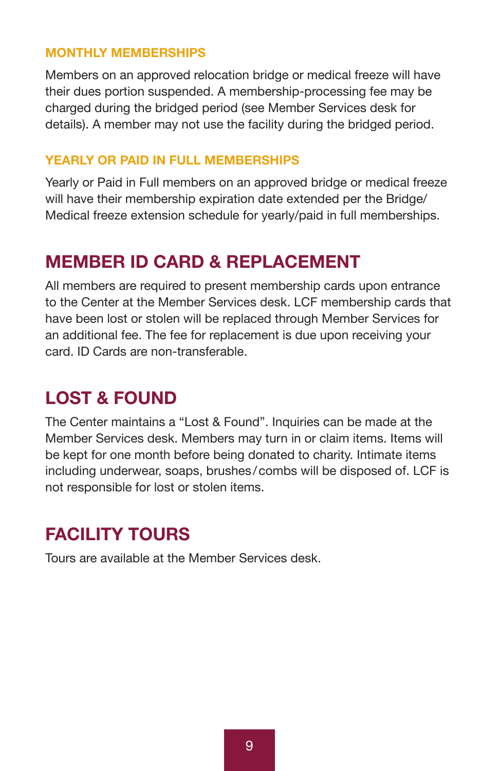#### **MONTHLY MEMBERSHIPS**

Members on an approved relocation bridge or medical freeze will have their dues portion suspended. A membership-processing fee may be charged during the bridged period (see Member Services desk for details). A member may not use the facility during the bridged period.

#### **YEARLY OR PAID IN FULL MEMBERSHIPS**

Yearly or Paid in Full members on an approved bridge or medical freeze will have their membership expiration date extended per the Bridge/ Medical freeze extension schedule for yearly/paid in full memberships.

### **MEMBER ID CARD & REPLACEMENT**

All members are required to present membership cards upon entrance to the Center at the Member Services desk. LCF membership cards that have been lost or stolen will be replaced through Member Services for an additional fee. The fee for replacement is due upon receiving your card. ID Cards are non-transferable.

### **LOST & FOUND**

The Center maintains a "Lost & Found". Inquiries can be made at the Member Services desk. Members may turn in or claim items. Items will be kept for one month before being donated to charity. Intimate items including underwear, soaps, brushes /combs will be disposed of. LCF is not responsible for lost or stolen items.

### **FACILITY TOURS**

Tours are available at the Member Services desk.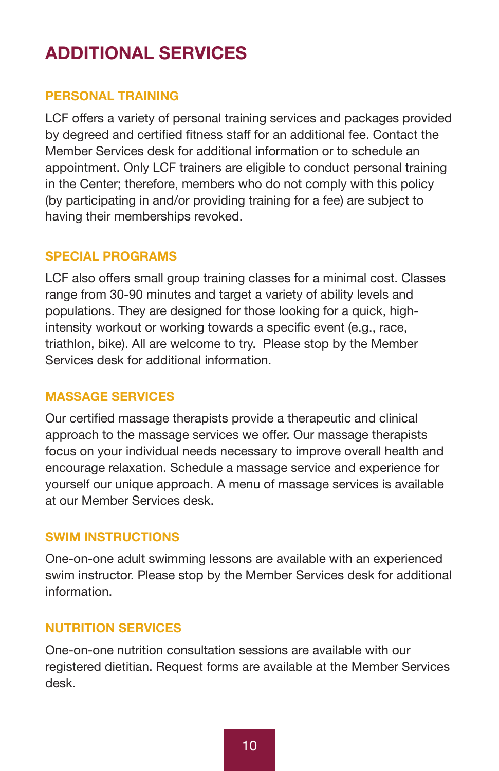### **ADDITIONAL SERVICES**

#### **PERSONAL TRAINING**

LCF offers a variety of personal training services and packages provided by degreed and certified fitness staff for an additional fee. Contact the Member Services desk for additional information or to schedule an appointment. Only LCF trainers are eligible to conduct personal training in the Center; therefore, members who do not comply with this policy (by participating in and/or providing training for a fee) are subject to having their memberships revoked.

#### **SPECIAL PROGRAMS**

LCF also offers small group training classes for a minimal cost. Classes range from 30-90 minutes and target a variety of ability levels and populations. They are designed for those looking for a quick, highintensity workout or working towards a specific event (e.g., race, triathlon, bike). All are welcome to try. Please stop by the Member Services desk for additional information.

#### **MASSAGE SERVICES**

Our certified massage therapists provide a therapeutic and clinical approach to the massage services we offer. Our massage therapists focus on your individual needs necessary to improve overall health and encourage relaxation. Schedule a massage service and experience for yourself our unique approach. A menu of massage services is available at our Member Services desk.

#### **SWIM INSTRUCTIONS**

One-on-one adult swimming lessons are available with an experienced swim instructor. Please stop by the Member Services desk for additional information.

#### **NUTRITION SERVICES**

One-on-one nutrition consultation sessions are available with our registered dietitian. Request forms are available at the Member Services desk.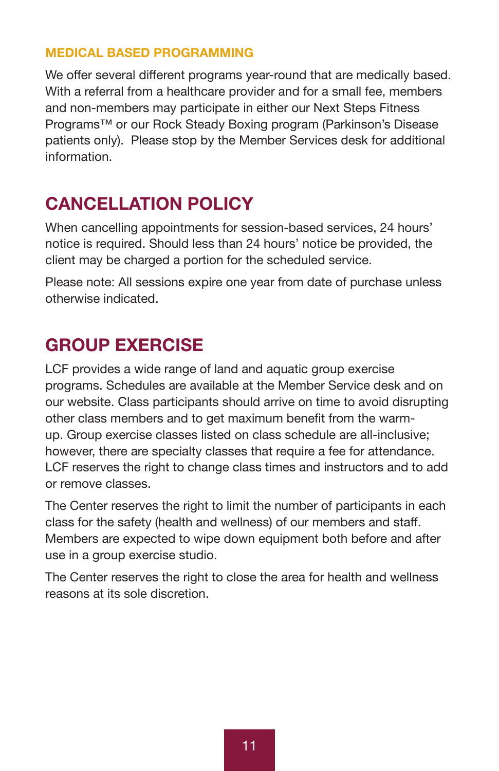#### **MEDICAL BASED PROGRAMMING**

We offer several different programs year-round that are medically based. With a referral from a healthcare provider and for a small fee, members and non-members may participate in either our Next Steps Fitness Programs™ or our Rock Steady Boxing program (Parkinson's Disease patients only). Please stop by the Member Services desk for additional information.

### **CANCELLATION POLICY**

When cancelling appointments for session-based services, 24 hours' notice is required. Should less than 24 hours' notice be provided, the client may be charged a portion for the scheduled service.

Please note: All sessions expire one year from date of purchase unless otherwise indicated.

### **GROUP EXERCISE**

LCF provides a wide range of land and aquatic group exercise programs. Schedules are available at the Member Service desk and on our website. Class participants should arrive on time to avoid disrupting other class members and to get maximum benefit from the warmup. Group exercise classes listed on class schedule are all-inclusive; however, there are specialty classes that require a fee for attendance. LCF reserves the right to change class times and instructors and to add or remove classes.

The Center reserves the right to limit the number of participants in each class for the safety (health and wellness) of our members and staff. Members are expected to wipe down equipment both before and after use in a group exercise studio.

The Center reserves the right to close the area for health and wellness reasons at its sole discretion.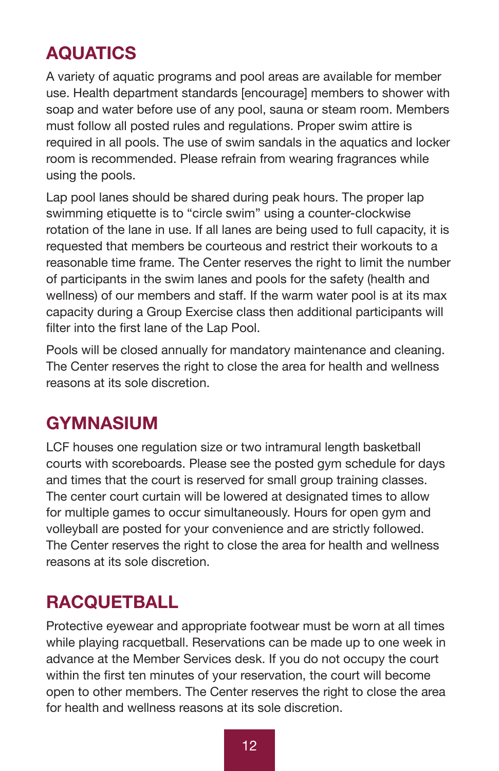### **AQUATICS**

A variety of aquatic programs and pool areas are available for member use. Health department standards [encourage] members to shower with soap and water before use of any pool, sauna or steam room. Members must follow all posted rules and regulations. Proper swim attire is required in all pools. The use of swim sandals in the aquatics and locker room is recommended. Please refrain from wearing fragrances while using the pools.

Lap pool lanes should be shared during peak hours. The proper lap swimming etiquette is to "circle swim" using a counter-clockwise rotation of the lane in use. If all lanes are being used to full capacity, it is requested that members be courteous and restrict their workouts to a reasonable time frame. The Center reserves the right to limit the number of participants in the swim lanes and pools for the safety (health and wellness) of our members and staff. If the warm water pool is at its max capacity during a Group Exercise class then additional participants will filter into the first lane of the Lap Pool.

Pools will be closed annually for mandatory maintenance and cleaning. The Center reserves the right to close the area for health and wellness reasons at its sole discretion.

### **GYMNASIUM**

LCF houses one regulation size or two intramural length basketball courts with scoreboards. Please see the posted gym schedule for days and times that the court is reserved for small group training classes. The center court curtain will be lowered at designated times to allow for multiple games to occur simultaneously. Hours for open gym and volleyball are posted for your convenience and are strictly followed. The Center reserves the right to close the area for health and wellness reasons at its sole discretion.

### **RACQUETBALL**

Protective eyewear and appropriate footwear must be worn at all times while playing racquetball. Reservations can be made up to one week in advance at the Member Services desk. If you do not occupy the court within the first ten minutes of your reservation, the court will become open to other members. The Center reserves the right to close the area for health and wellness reasons at its sole discretion.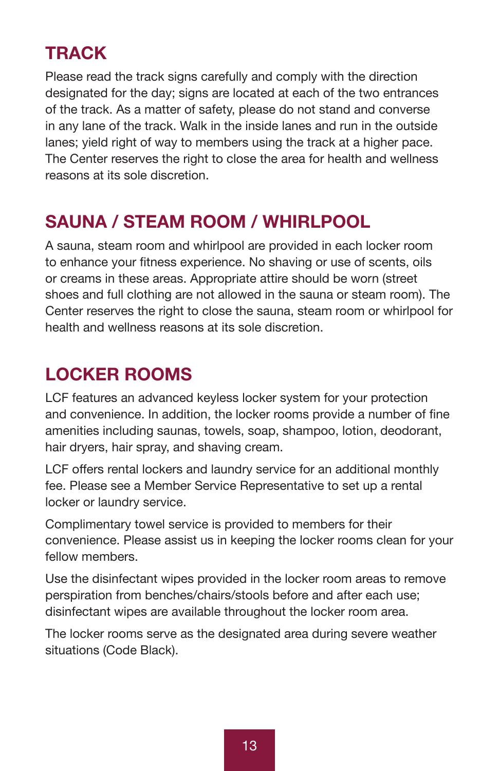### **TRACK**

Please read the track signs carefully and comply with the direction designated for the day; signs are located at each of the two entrances of the track. As a matter of safety, please do not stand and converse in any lane of the track. Walk in the inside lanes and run in the outside lanes; yield right of way to members using the track at a higher pace. The Center reserves the right to close the area for health and wellness reasons at its sole discretion.

### **SAUNA / STEAM ROOM / WHIRLPOOL**

A sauna, steam room and whirlpool are provided in each locker room to enhance your fitness experience. No shaving or use of scents, oils or creams in these areas. Appropriate attire should be worn (street shoes and full clothing are not allowed in the sauna or steam room). The Center reserves the right to close the sauna, steam room or whirlpool for health and wellness reasons at its sole discretion.

### **LOCKER ROOMS**

LCF features an advanced keyless locker system for your protection and convenience. In addition, the locker rooms provide a number of fine amenities including saunas, towels, soap, shampoo, lotion, deodorant, hair dryers, hair spray, and shaving cream.

LCF offers rental lockers and laundry service for an additional monthly fee. Please see a Member Service Representative to set up a rental locker or laundry service.

Complimentary towel service is provided to members for their convenience. Please assist us in keeping the locker rooms clean for your fellow members.

Use the disinfectant wipes provided in the locker room areas to remove perspiration from benches/chairs/stools before and after each use; disinfectant wipes are available throughout the locker room area.

The locker rooms serve as the designated area during severe weather situations (Code Black).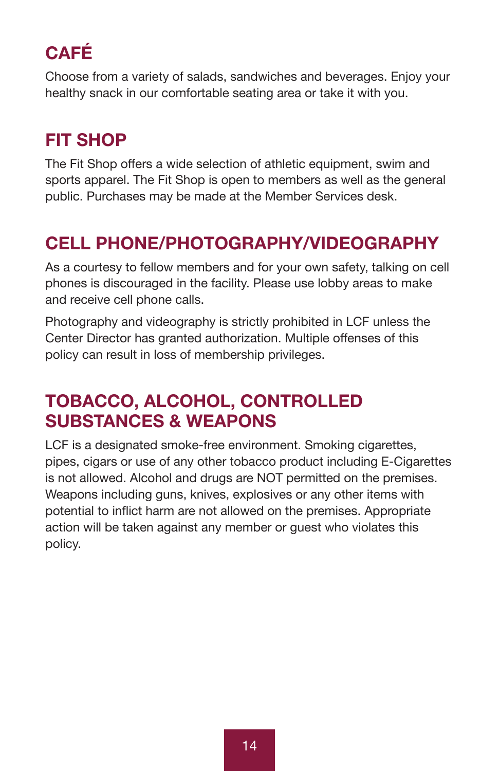### **CAFÉ**

Choose from a variety of salads, sandwiches and beverages. Enjoy your healthy snack in our comfortable seating area or take it with you.

### **FIT SHOP**

The Fit Shop offers a wide selection of athletic equipment, swim and sports apparel. The Fit Shop is open to members as well as the general public. Purchases may be made at the Member Services desk.

### **CELL PHONE/PHOTOGRAPHY/VIDEOGRAPHY**

As a courtesy to fellow members and for your own safety, talking on cell phones is discouraged in the facility. Please use lobby areas to make and receive cell phone calls.

Photography and videography is strictly prohibited in LCF unless the Center Director has granted authorization. Multiple offenses of this policy can result in loss of membership privileges.

### **TOBACCO, ALCOHOL, CONTROLLED SUBSTANCES & WEAPONS**

LCF is a designated smoke-free environment. Smoking cigarettes, pipes, cigars or use of any other tobacco product including E-Cigarettes is not allowed. Alcohol and drugs are NOT permitted on the premises. Weapons including guns, knives, explosives or any other items with potential to inflict harm are not allowed on the premises. Appropriate action will be taken against any member or guest who violates this policy.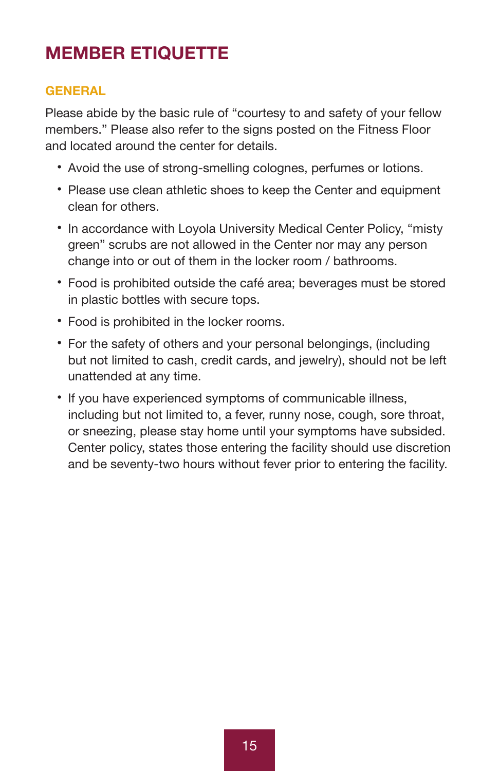### **MEMBER ETIQUETTE**

#### **GENERAL**

Please abide by the basic rule of "courtesy to and safety of your fellow members." Please also refer to the signs posted on the Fitness Floor and located around the center for details.

- Avoid the use of strong-smelling colognes, perfumes or lotions.
- Please use clean athletic shoes to keep the Center and equipment clean for others.
- In accordance with Loyola University Medical Center Policy, "misty green" scrubs are not allowed in the Center nor may any person change into or out of them in the locker room / bathrooms.
- Food is prohibited outside the café area; beverages must be stored in plastic bottles with secure tops.
- Food is prohibited in the locker rooms.
- For the safety of others and your personal belongings, (including but not limited to cash, credit cards, and jewelry), should not be left unattended at any time.
- If you have experienced symptoms of communicable illness, including but not limited to, a fever, runny nose, cough, sore throat, or sneezing, please stay home until your symptoms have subsided. Center policy, states those entering the facility should use discretion and be seventy-two hours without fever prior to entering the facility.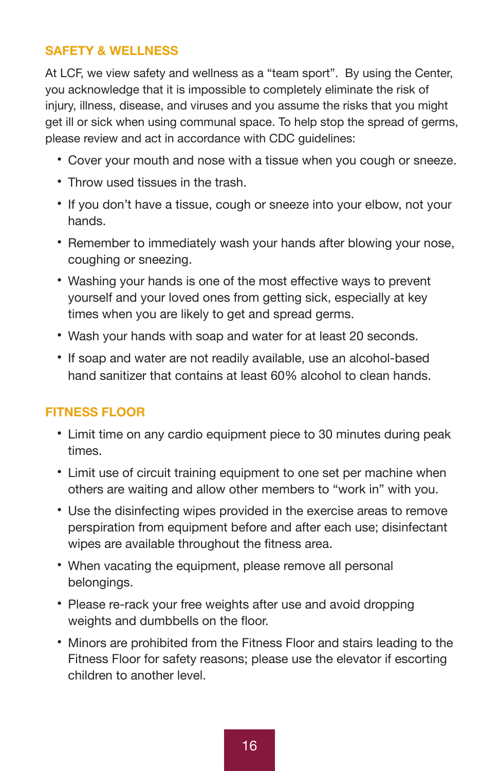#### **SAFETY & WELLNESS**

At LCF, we view safety and wellness as a "team sport". By using the Center, you acknowledge that it is impossible to completely eliminate the risk of injury, illness, disease, and viruses and you assume the risks that you might get ill or sick when using communal space. To help stop the spread of germs, please review and act in accordance with CDC guidelines:

- Cover your mouth and nose with a tissue when you cough or sneeze.
- Throw used tissues in the trash.
- If you don't have a tissue, cough or sneeze into your elbow, not your hands.
- Remember to immediately wash your hands after blowing your nose, coughing or sneezing.
- Washing your hands is one of the most effective ways to prevent yourself and your loved ones from getting sick, especially at key times when you are likely to get and spread germs.
- Wash your hands with soap and water for at least 20 seconds.
- If soap and water are not readily available, use an alcohol-based hand sanitizer that contains at least 60% alcohol to clean hands.

#### **FITNESS FLOOR**

- Limit time on any cardio equipment piece to 30 minutes during peak times.
- Limit use of circuit training equipment to one set per machine when others are waiting and allow other members to "work in" with you.
- Use the disinfecting wipes provided in the exercise areas to remove perspiration from equipment before and after each use; disinfectant wipes are available throughout the fitness area.
- When vacating the equipment, please remove all personal belongings.
- Please re-rack your free weights after use and avoid dropping weights and dumbbells on the floor.
- Minors are prohibited from the Fitness Floor and stairs leading to the Fitness Floor for safety reasons; please use the elevator if escorting children to another level.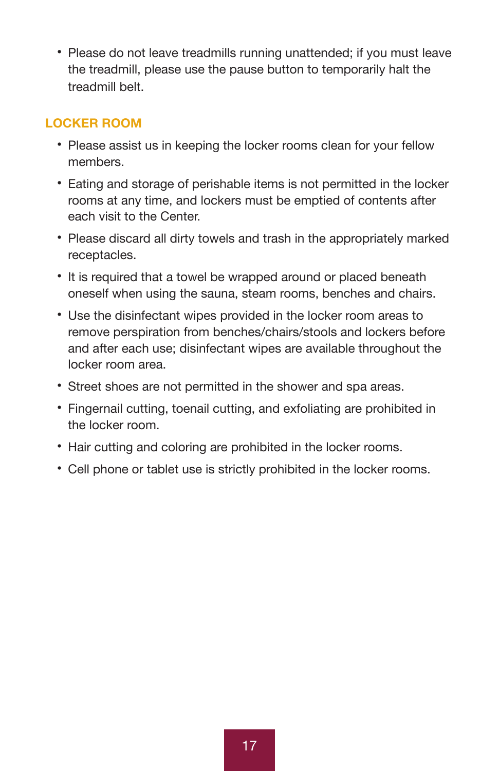• Please do not leave treadmills running unattended; if you must leave the treadmill, please use the pause button to temporarily halt the treadmill belt.

#### **LOCKER ROOM**

- Please assist us in keeping the locker rooms clean for your fellow members.
- Eating and storage of perishable items is not permitted in the locker rooms at any time, and lockers must be emptied of contents after each visit to the Center.
- Please discard all dirty towels and trash in the appropriately marked receptacles.
- It is required that a towel be wrapped around or placed beneath oneself when using the sauna, steam rooms, benches and chairs.
- Use the disinfectant wipes provided in the locker room areas to remove perspiration from benches/chairs/stools and lockers before and after each use; disinfectant wipes are available throughout the locker room area.
- Street shoes are not permitted in the shower and spa areas.
- Fingernail cutting, toenail cutting, and exfoliating are prohibited in the locker room.
- Hair cutting and coloring are prohibited in the locker rooms.
- Cell phone or tablet use is strictly prohibited in the locker rooms.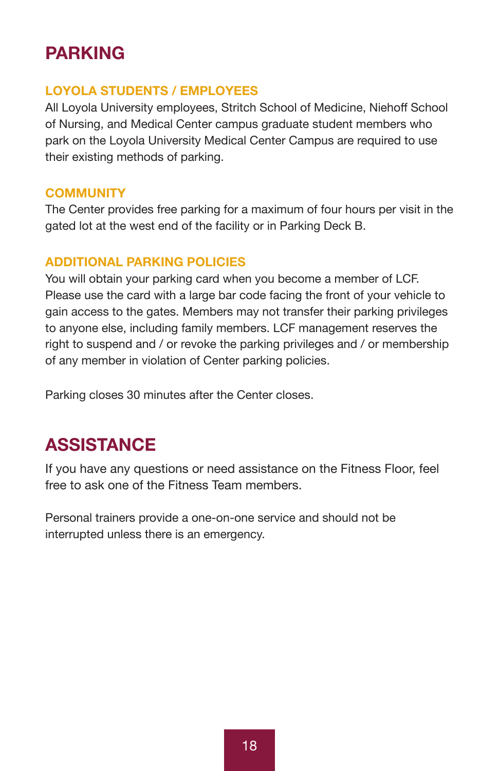### **PARKING**

#### **LOYOLA STUDENTS / EMPLOYEES**

All Loyola University employees, Stritch School of Medicine, Niehoff School of Nursing, and Medical Center campus graduate student members who park on the Loyola University Medical Center Campus are required to use their existing methods of parking.

#### **COMMUNITY**

The Center provides free parking for a maximum of four hours per visit in the gated lot at the west end of the facility or in Parking Deck B.

#### **ADDITIONAL PARKING POLICIES**

You will obtain your parking card when you become a member of LCF. Please use the card with a large bar code facing the front of your vehicle to gain access to the gates. Members may not transfer their parking privileges to anyone else, including family members. LCF management reserves the right to suspend and / or revoke the parking privileges and / or membership of any member in violation of Center parking policies.

Parking closes 30 minutes after the Center closes.

### **ASSISTANCE**

If you have any questions or need assistance on the Fitness Floor, feel free to ask one of the Fitness Team members.

Personal trainers provide a one-on-one service and should not be interrupted unless there is an emergency.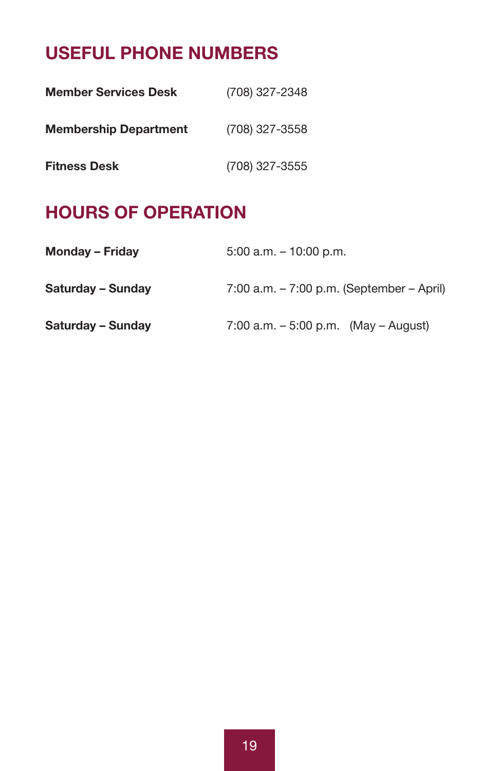### **USEFUL PHONE NUMBERS**

| <b>Member Services Desk</b>  | (708) 327-2348 |
|------------------------------|----------------|
| <b>Membership Department</b> | (708) 327-3558 |
| <b>Fitness Desk</b>          | (708) 327-3555 |

### **HOURS OF OPERATION**

| <b>Monday - Friday</b> | $5:00$ a.m. $-10:00$ p.m.                      |
|------------------------|------------------------------------------------|
| Saturday - Sunday      | $7:00$ a.m. $-7:00$ p.m. (September $-$ April) |
| Saturday - Sunday      | 7:00 a.m. $-5:00$ p.m. (May $-$ August)        |